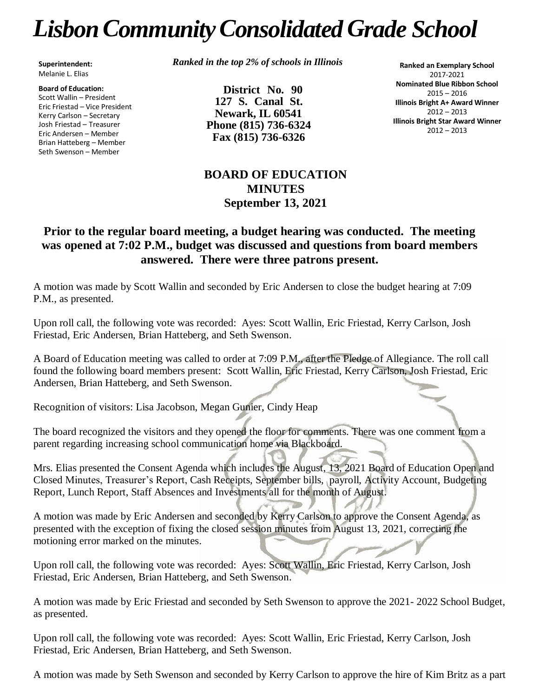## *LisbonCommunityConsolidated Grade School*

**Superintendent:** Melanie L. Elias

**Board of Education:** Scott Wallin – President Eric Friestad – Vice President Kerry Carlson – Secretary Josh Friestad – Treasurer Eric Andersen – Member Brian Hatteberg – Member Seth Swenson – Member

*Ranked in the top 2% of schools in Illinois*

**District No. 90 127 S. Canal St. Newark, IL 60541 Phone (815) 736-6324 Fax (815) 736-6326**

**Ranked an Exemplary School** 2017-2021 **Nominated Blue Ribbon School** 2015 – 2016 **Illinois Bright A+ Award Winner** 2012 – 2013 **Illinois Bright Star Award Winner** 2012 – 2013

## **BOARD OF EDUCATION MINUTES September 13, 2021**

## **Prior to the regular board meeting, a budget hearing was conducted. The meeting was opened at 7:02 P.M., budget was discussed and questions from board members answered. There were three patrons present.**

A motion was made by Scott Wallin and seconded by Eric Andersen to close the budget hearing at 7:09 P.M., as presented.

Upon roll call, the following vote was recorded: Ayes: Scott Wallin, Eric Friestad, Kerry Carlson, Josh Friestad, Eric Andersen, Brian Hatteberg, and Seth Swenson.

A Board of Education meeting was called to order at 7:09 P.M., after the Pledge of Allegiance. The roll call found the following board members present: Scott Wallin, Eric Friestad, Kerry Carlson, Josh Friestad, Eric Andersen, Brian Hatteberg, and Seth Swenson.

Recognition of visitors: Lisa Jacobson, Megan Gunier, Cindy Heap

The board recognized the visitors and they opened the floor for comments. There was one comment from a parent regarding increasing school communication home via Blackboard.

Mrs. Elias presented the Consent Agenda which includes the August, 13, 2021 Board of Education Open and Closed Minutes, Treasurer's Report, Cash Receipts, September bills, payroll, Activity Account, Budgeting Report, Lunch Report, Staff Absences and Investments all for the month of August.

A motion was made by Eric Andersen and seconded by Kerry Carlson to approve the Consent Agenda, as presented with the exception of fixing the closed session minutes from August 13, 2021, correcting the motioning error marked on the minutes.

Upon roll call, the following vote was recorded: Ayes: Scott Wallin, Eric Friestad, Kerry Carlson, Josh Friestad, Eric Andersen, Brian Hatteberg, and Seth Swenson.

A motion was made by Eric Friestad and seconded by Seth Swenson to approve the 2021- 2022 School Budget, as presented.

Upon roll call, the following vote was recorded: Ayes: Scott Wallin, Eric Friestad, Kerry Carlson, Josh Friestad, Eric Andersen, Brian Hatteberg, and Seth Swenson.

A motion was made by Seth Swenson and seconded by Kerry Carlson to approve the hire of Kim Britz as a part